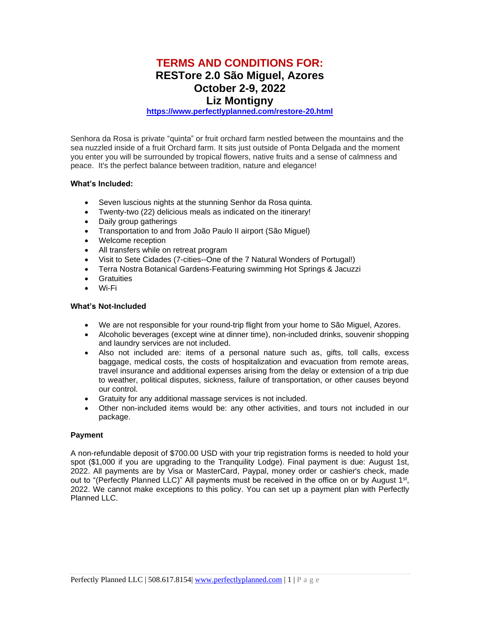# **TERMS AND CONDITIONS FOR: RESTore 2.0 São Miguel, Azores October 2-9, 2022**

### **Liz Montigny**

#### **<https://www.perfectlyplanned.com/restore-20.html>**

Senhora da Rosa is private "quinta" or fruit orchard farm nestled between the mountains and the sea nuzzled inside of a fruit Orchard farm. It sits just outside of Ponta Delgada and the moment you enter you will be surrounded by tropical flowers, native fruits and a sense of calmness and peace. It's the perfect balance between tradition, nature and elegance!

#### **What's Included:**

- Seven luscious nights at the stunning Senhor da Rosa quinta.
- Twenty-two (22) delicious meals as indicated on the itinerary!
- Daily group gatherings
- Transportation to and from João Paulo II airport (São Miguel)
- Welcome reception
- All transfers while on retreat program
- Visit to Sete Cidades (7-cities--One of the 7 Natural Wonders of Portugal!)
- Terra Nostra Botanical Gardens-Featuring swimming Hot Springs & Jacuzzi
- Gratuities
- Wi-Fi

#### **What's Not-Included**

- We are not responsible for your round-trip flight from your home to São Miguel, Azores.
- Alcoholic beverages (except wine at dinner time), non-included drinks, souvenir shopping and laundry services are not included.
- Also not included are: items of a personal nature such as, gifts, toll calls, excess baggage, medical costs, the costs of hospitalization and evacuation from remote areas, travel insurance and additional expenses arising from the delay or extension of a trip due to weather, political disputes, sickness, failure of transportation, or other causes beyond our control.
- Gratuity for any additional massage services is not included.
- Other non-included items would be: any other activities, and tours not included in our package.

#### **Payment**

A non-refundable deposit of \$700.00 USD with your trip registration forms is needed to hold your spot (\$1,000 if you are upgrading to the Tranquility Lodge). Final payment is due: August 1st, 2022. All payments are by Visa or MasterCard, Paypal, money order or cashier's check, made out to "(Perfectly Planned LLC)" All payments must be received in the office on or by August  $1<sup>st</sup>$ , 2022. We cannot make exceptions to this policy. You can set up a payment plan with Perfectly Planned LLC.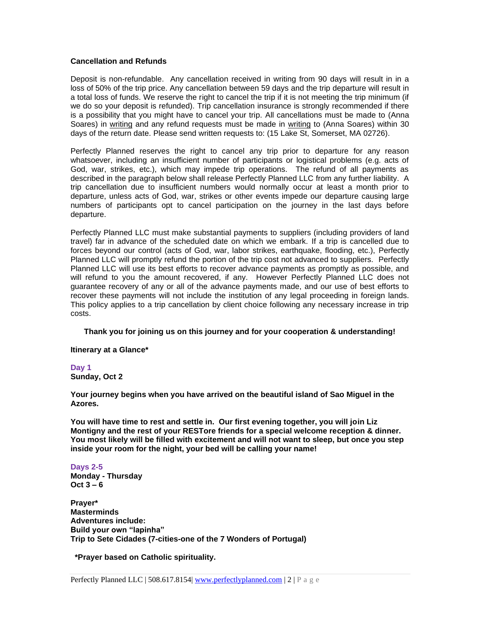#### **Cancellation and Refunds**

Deposit is non-refundable. Any cancellation received in writing from 90 days will result in in a loss of 50% of the trip price. Any cancellation between 59 days and the trip departure will result in a total loss of funds. We reserve the right to cancel the trip if it is not meeting the trip minimum (if we do so your deposit is refunded). Trip cancellation insurance is strongly recommended if there is a possibility that you might have to cancel your trip. All cancellations must be made to (Anna Soares) in writing and any refund requests must be made in writing to (Anna Soares) within 30 days of the return date. Please send written requests to: (15 Lake St, Somerset, MA 02726).

Perfectly Planned reserves the right to cancel any trip prior to departure for any reason whatsoever, including an insufficient number of participants or logistical problems (e.g. acts of God, war, strikes, etc.), which may impede trip operations. The refund of all payments as described in the paragraph below shall release Perfectly Planned LLC from any further liability. A trip cancellation due to insufficient numbers would normally occur at least a month prior to departure, unless acts of God, war, strikes or other events impede our departure causing large numbers of participants opt to cancel participation on the journey in the last days before departure.

Perfectly Planned LLC must make substantial payments to suppliers (including providers of land travel) far in advance of the scheduled date on which we embark. If a trip is cancelled due to forces beyond our control (acts of God, war, labor strikes, earthquake, flooding, etc.), Perfectly Planned LLC will promptly refund the portion of the trip cost not advanced to suppliers. Perfectly Planned LLC will use its best efforts to recover advance payments as promptly as possible, and will refund to you the amount recovered, if any. However Perfectly Planned LLC does not guarantee recovery of any or all of the advance payments made, and our use of best efforts to recover these payments will not include the institution of any legal proceeding in foreign lands. This policy applies to a trip cancellation by client choice following any necessary increase in trip costs.

#### **Thank you for joining us on this journey and for your cooperation & understanding!**

**Itinerary at a Glance\***

**Day 1 Sunday, Oct 2**

**Your journey begins when you have arrived on the beautiful island of Sao Miguel in the Azores.** 

**You will have time to rest and settle in. Our first evening together, you will join Liz Montigny and the rest of your RESTore friends for a special welcome reception & dinner. You most likely will be filled with excitement and will not want to sleep, but once you step inside your room for the night, your bed will be calling your name!**

## **Days 2-5**

**Monday - Thursday Oct 3 – 6**

**Prayer\* Masterminds Adventures include: Build your own "lapinha" Trip to Sete Cidades (7-cities-one of the 7 Wonders of Portugal)**

 **\*Prayer based on Catholic spirituality.**